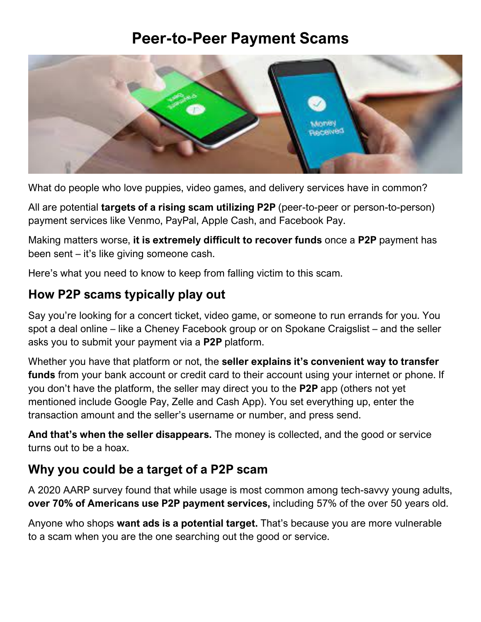# **Peer-to-Peer Payment Scams**



What do people who love puppies, video games, and delivery services have in common?

All are potential **targets of a rising scam utilizing P2P** (peer-to-peer or person-to-person) payment services like Venmo, PayPal, Apple Cash, and Facebook Pay.

Making matters worse, **it is extremely difficult to recover funds** once a **P2P** payment has been sent – it's like giving someone cash.

Here's what you need to know to keep from falling victim to this scam.

### **How P2P scams typically play out**

Say you're looking for a concert ticket, video game, or someone to run errands for you. You spot a deal online – like a Cheney Facebook group or on Spokane Craigslist – and the seller asks you to submit your payment via a **P2P** platform.

Whether you have that platform or not, the **seller explains it's convenient way to transfer funds** from your bank account or credit card to their account using your internet or phone. If you don't have the platform, the seller may direct you to the **P2P** app (others not yet mentioned include Google Pay, Zelle and Cash App). You set everything up, enter the transaction amount and the seller's username or number, and press send.

**And that's when the seller disappears.** The money is collected, and the good or service turns out to be a hoax.

### **Why you could be a target of a P2P scam**

A 2020 AARP survey found that while usage is most common among tech-savvy young adults, **over 70% of Americans use P2P payment services,** including 57% of the over 50 years old.

Anyone who shops **want ads is a potential target.** That's because you are more vulnerable to a scam when you are the one searching out the good or service.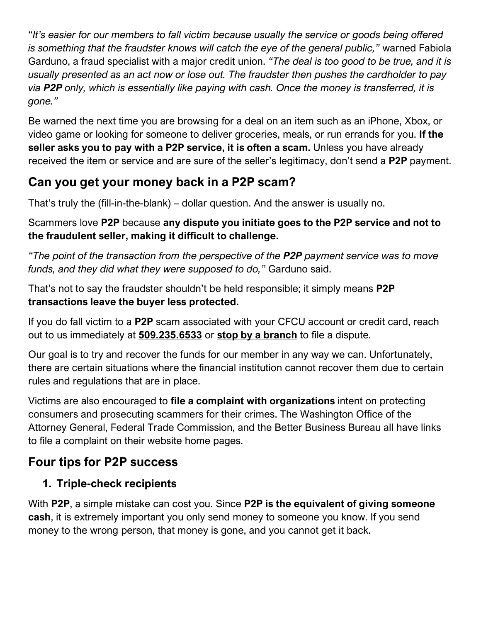"*It's easier for our members to fall victim because usually the service or goods being offered is something that the fraudster knows will catch the eye of the general public,"* warned Fabiola Garduno, a fraud specialist with a major credit union. *"The deal is too good to be true, and it is usually presented as an act now or lose out. The fraudster then pushes the cardholder to pay via P2P only, which is essentially like paying with cash. Once the money is transferred, it is gone."*

Be warned the next time you are browsing for a deal on an item such as an iPhone, Xbox, or video game or looking for someone to deliver groceries, meals, or run errands for you. **If the seller asks you to pay with a P2P service, it is often a scam.** Unless you have already received the item or service and are sure of the seller's legitimacy, don't send a **P2P** payment.

# **Can you get your money back in a P2P scam?**

That's truly the (fill-in-the-blank) – dollar question. And the answer is usually no.

Scammers love **P2P** because **any dispute you initiate goes to the P2P service and not to the fraudulent seller, making it difficult to challenge.**

*"The point of the transaction from the perspective of the P2P payment service was to move funds, and they did what they were supposed to do,"* Garduno said.

That's not to say the fraudster shouldn't be held responsible; it simply means **P2P transactions leave the buyer less protected.**

If you do fall victim to a **P2P** scam associated with your CFCU account or credit card, reach out to us immediately at **509.235.6533** or **stop by a branch** to file a dispute.

Our goal is to try and recover the funds for our member in any way we can. Unfortunately, there are certain situations where the financial institution cannot recover them due to certain rules and regulations that are in place.

Victims are also encouraged to **file a complaint with organizations** intent on protecting consumers and prosecuting scammers for their crimes. The Washington Office of the Attorney General, Federal Trade Commission, and the Better Business Bureau all have links to file a complaint on their website home pages.

# **Four tips for P2P success**

### **1. Triple-check recipients**

With **P2P**, a simple mistake can cost you. Since **P2P is the equivalent of giving someone cash**, it is extremely important you only send money to someone you know. If you send money to the wrong person, that money is gone, and you cannot get it back.